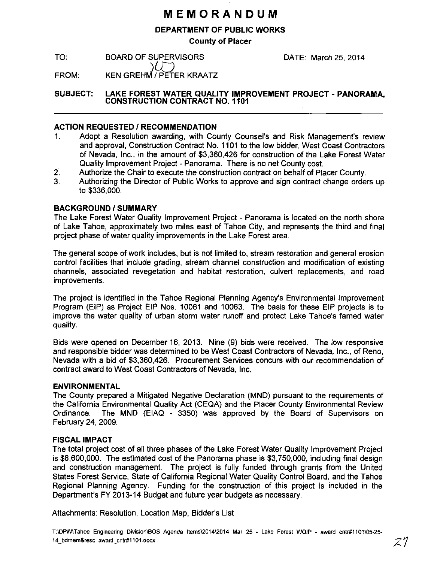### **MEMORANDUM**

#### DEPARTMENT OF PUBLIC WORKS

County of Placer

TO: BOARD OF SUPERVISORS DATE: March 25, 2014

FROM: KEN GREHM / PETER KRAATZ

SUBJECT: LAKE FOREST WATER QUALITY IMPROVEMENT PROJECT - PANORAMA, CONSTRUCTION CONTRACT N0.1101

#### **ACTION REQUESTED / RECOMMENDATION**

- 1. Adopt a Resolution awarding, with County Counsel's and Risk Management's review and approval, Construction Contract No. 1101 to the low bidder, West Coast Contractors of Nevada, Inc., in the amount of \$3,360,426 for construction of the Lake Forest Water Quality Improvement Project - Panorama. There is no net County cost.
- 2. Authorize the Chair to execute the construction contract on behalf of Placer County.
- 3. Authorizing the Director of Public Works to approve and sign contract change orders up to \$336,000.

#### BACKGROUND/SUMMARY

The Lake Forest Water Quality Improvement Project - Panorama is located on the north shore of Lake Tahoe, approximately two miles east of Tahoe City, and represents the third and final project phase of water quality improvements in the Lake Forest area.

The general scope of work includes, but is not limited to, stream restoration and general erosion control facilities that include grading, stream channel construction and modification of existing channels, associated revegetation and habitat restoration, culvert replacements, and road improvements.

The project is identified in the Tahoe Regional Planning Agency's Environmental Improvement Program (EIP) as Project EIP Nos. 10061 and 10063. The basis for these EIP projects is to improve the water quality of urban storm water runoff and protect Lake Tahoe's famed water quality.

Bids were opened on December 16, 2013. Nine (9) bids were received. The low responsive and responsible bidder was determined to be West Coast Contractors of Nevada, Inc., of Reno, Nevada with a bid of \$3,360,426. Procurement Services concurs with our recommendation of contract award to West Coast Contractors of Nevada, Inc.

#### ENVIRONMENTAL

The County prepared a Mitigated Negative Declaration (MND) pursuant to the requirements of the California Environmental Quality Act (CEQA) and the Placer County Environmental Review Ordinance. The MND (EIAQ - 3350) was approved by the Board of Supervisors on February 24, 2009.

#### FISCAL IMPACT

The total project cost of all three phases of the Lake Forest Water Quality Improvement Project is \$8,600,000. The estimated cost of the Panorama phase is \$3,750,000, including final design and construction management. The project is fully funded through grants from the United States Forest Service, State of California Regional Water Quality Control Board, and the Tahoe Regional Planning Agency. Funding for the construction of this project is included in the Department's FY 2013-14 Budget and future year budgets as necessary.

Attachments: Resolution, Location Map, Bidder's List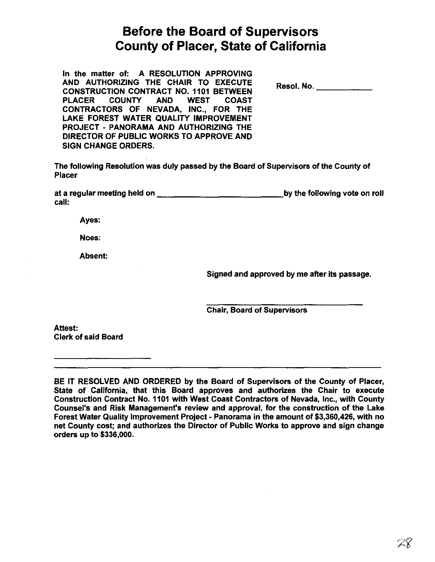# **Before the Board of Supervisors County of Placer, State of California**

In the matter of: A RESOLUTION APPROVING AND AUTHORIZING THE CHAIR TO EXECUTE CONSTRUCTION CONTRACT NO. 1101 BETWEEN PLACER COUNTY AND WEST COAST CONTRACTORS OF NEVADA, INC., FOR THE LAKE FOREST WATER QUALITY IMPROVEMENT PROJECT - PANORAMA AND AUTHORIZING THE DIRECTOR OF PUBLIC WORKS TO APPROVE AND SIGN CHANGE ORDERS.

Resol. No.  $\blacksquare$ 

The following Resolution was duly passed by the Board of Supervisors of the County of Placer

at a regular meeting held on \_\_\_\_\_\_\_\_\_\_\_\_ ,by the following vote on roll call:

Ayes:

Noes:

Absent:

Signed and approved by me after its passage.

Chair, Board of Supervisors

Attest: Clerk of said Board

BE IT RESOLVED AND ORDERED by the Board of Supervisors of the County of Placer, State of California, that this Board approves and authorizes the Chair to execute Construction Contract No. 1101 with West Coast Contractors of Nevada, Inc., with County Counsel's and Risk Management's review and approval, for the construction of the Lake Forest Water Quality Improvement Project- Panorama in the amount of \$3,360,426, with no net County cost; and authorizes the Director of Public Works to approve and sign change orders up to \$336,000.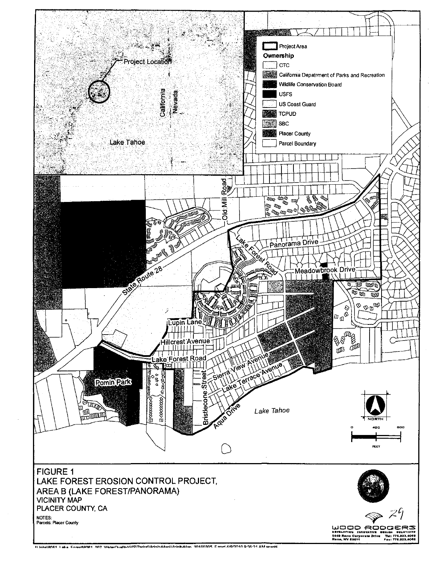